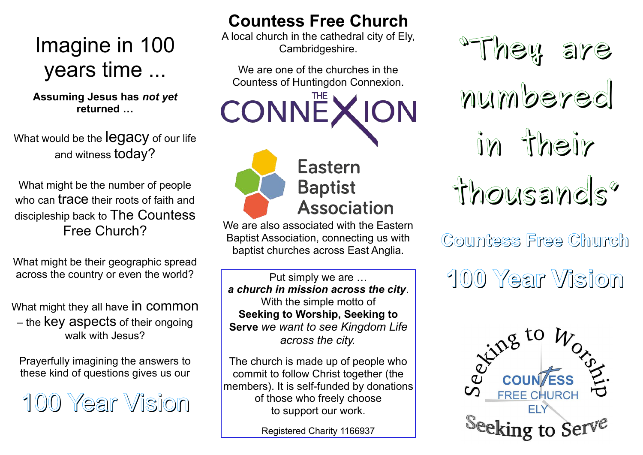# Imagine in 100 years time ...

**Assuming Jesus has** *not yet* **returned …**

What would be the **legacy** of our life and witness today?

What might be the number of people who can trace their roots of faith and discipleship back to The Countess Free Church?

What might be their geographic spread across the country or even the world?

What might they all have in common – the key aspects of their ongoing walk with Jesus?

Prayerfully imagining the answers to these kind of questions gives us our

100 Year Vision

### **Countess Free Church**

A local church in the cathedral city of Ely, Cambridgeshire.

We are one of the churches in the Countess of Huntingdon Connexion.

**CONNEXION** 



## **Eastern Baptist Association**

We are also associated with the Eastern Baptist Association, connecting us with baptist churches across East Anglia.

Put simply we are … *a church in mission across the city*. With the simple motto of **Seeking to Worship, Seeking to Serve** *we want to see Kingdom Life across the city.*

The church is made up of people who commit to follow Christ together (the members). It is self-funded by donations of those who freely choose to support our work.

Registered Charity 1166937



**Countess Free Church**

**100 Year Vision**